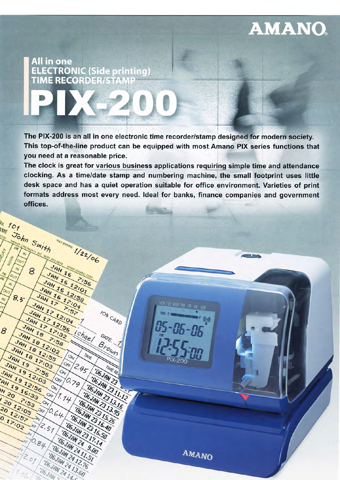## **AMANO**

### **All in one ELECTRONIC (Side printing) TIME RECORDER/STAN**

PAY ENDING 1/22/06

WWW.AMANO

 $556$ 

Ichael

 $2.95$ 

TIME

JOB CARD

DATE

Brown

TIME RE **UGJAN 23** 

**106 JAW 23 11.12** 

TUGJAN 2313.16

**106 JAW 23 13.95** 

**106 JAW 23 15.26** 

106 JAN 23 16.40

TUGJAN 23 16.50

**UGJAW 23 17.14** 

TOGJAN 24 9.00

TOGJAN 24 11.51

**106 JAN 24 12.76** TUGJAN 24 13.60

DEJAN 24 14 C

JAN 16

JAN 16 12:01

 $5.57$ 

 $O_V$ 

 $6,79$ 

Off

 $O_{\Lambda}$ 

 $7.14$ 

Orx

 $O_V$ 

 $6.64$ 

Off

 $O_V$ 

 $12.57$ 

'OGJAN

OFF

 $\mathcal{D}_{\mathcal{N}}$ 

10.84

 $\lambda$ 

 $2.07$ 

JAN 16 12:58

JAN 16 17:04

JAN 17

JAH 17 12:04

7:58

JAH 17 12156

JAH 17 17 192

10. 101

 $\eta$ 

 $8,5$ 

JAN 19

JAH 19 12:03

JAN 19 12156

AH 1916.33

20 12:05 7:53

2012:57

017:02

 $o_{U}$ 

 $\omega$ 

 $\omega$ 

8

IME John Smith

8

JAN 18

JAN 18 12:02

7:56

JAN 18 12:55

JAH 18 17:03

The PIX-200 is an all in one electronic time recorder/stamp designed for modern society. This top-of-the-line product can be equipped with most Amano PIX series functions that you need at a reasonable price.

The clock is great for various business applications requiring simple time and attendance clocking. As a time/date stamp and numbering machine, the small footprint uses little desk space and has a quiet operation suitable for office environment. Varieties of print formats address most every need. Ideal for banks, finance companies and government offices.

MON TUE WED THU FRI SAT SUN

 $(\mathbb{C})$ 

**AMANO**